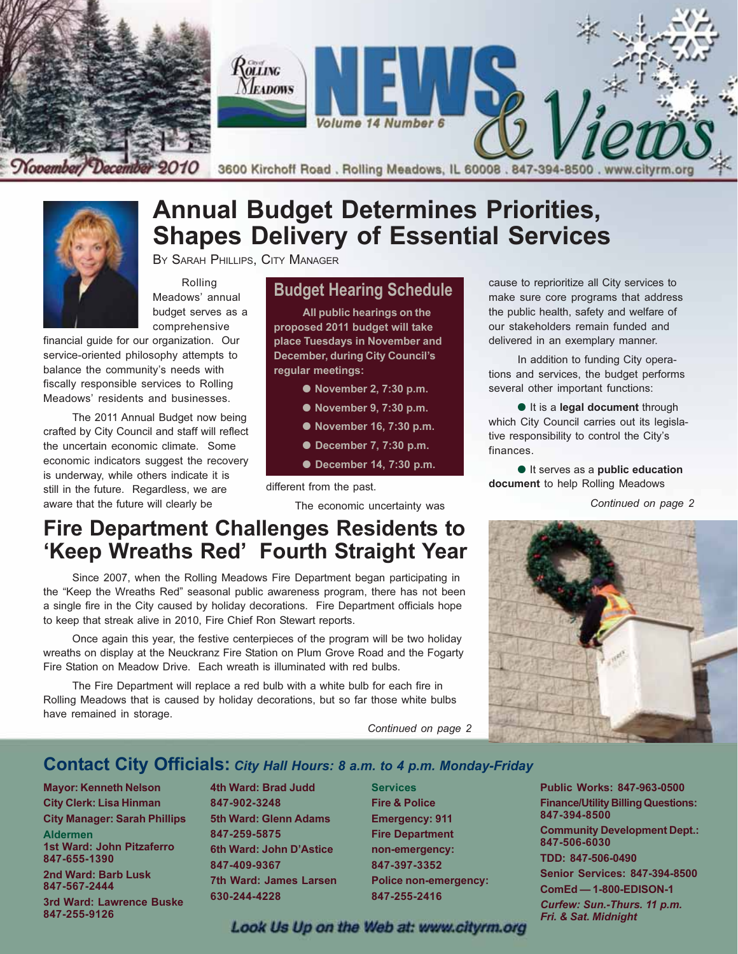

# **Annual Budget Determines Priorities, Shapes Delivery of Essential Services**

BY SARAH PHILLIPS, CITY MANAGER

Rolling Meadows' annual budget serves as a comprehensive

financial quide for our organization. Our service-oriented philosophy attempts to balance the community's needs with fiscally responsible services to Rolling Meadows' residents and businesses.

The 2011 Annual Budget now being crafted by City Council and staff will reflect the uncertain economic climate. Some economic indicators suggest the recovery is underway, while others indicate it is still in the future. Regardless, we are aware that the future will clearly be

#### **Budget Hearing Schedule**

All public hearings on the proposed 2011 budget will take place Tuesdays in November and **December, during City Council's** regular meetings:

- November 2, 7:30 p.m.
- November 9, 7:30 p.m.
- November 16, 7:30 p.m.
- December 7, 7:30 p.m.
- December 14, 7:30 p.m.

different from the past.

The economic uncertainty was

cause to reprioritize all City services to make sure core programs that address the public health, safety and welfare of our stakeholders remain funded and delivered in an exemplary manner.

In addition to funding City operations and services, the budget performs several other important functions:

It is a legal document through which City Council carries out its legislative responsibility to control the City's finances.

It serves as a public education document to help Rolling Meadows

Continued on page 2



# **Fire Department Challenges Residents to** 'Keep Wreaths Red' Fourth Straight Year

Since 2007, when the Rolling Meadows Fire Department began participating in the "Keep the Wreaths Red" seasonal public awareness program, there has not been a single fire in the City caused by holiday decorations. Fire Department officials hope to keep that streak alive in 2010, Fire Chief Ron Stewart reports.

Once again this year, the festive centerpieces of the program will be two holiday wreaths on display at the Neuckranz Fire Station on Plum Grove Road and the Fogarty Fire Station on Meadow Drive. Each wreath is illuminated with red bulbs.

The Fire Department will replace a red bulb with a white bulb for each fire in Rolling Meadows that is caused by holiday decorations, but so far those white bulbs have remained in storage.

Continued on page 2

#### **Contact City Officials: City Hall Hours: 8 a.m. to 4 p.m. Monday-Friday**

**Mayor: Kenneth Nelson City Clerk: Lisa Hinman City Manager: Sarah Phillips Aldermen** 1st Ward: John Pitzaferro 847-655-1390 2nd Ward: Barb Lusk 847-567-2444 3rd Ward: Lawrence Buske 847-255-9126

4th Ward: Brad Judd 847-902-3248 5th Ward: Glenn Adams 847-259-5875 6th Ward: John D'Astice 847-409-9367 **7th Ward: James Larsen** 630-244-4228

**Services Fire & Police Emergency: 911 Fire Department** non-emergency: 847-397-3352 **Police non-emergency:** 847-255-2416

**Public Works: 847-963-0500 Finance/Utility Billing Questions:** 847-394-8500

**Community Development Dept.:** 847-506-6030

TDD: 847-506-0490

**Senior Services: 847-394-8500** 

**ComEd-1-800-EDISON-1** 

Curfew: Sun.-Thurs. 11 p.m. Fri. & Sat. Midnight

Look Us Up on the Web at: www.cityrm.org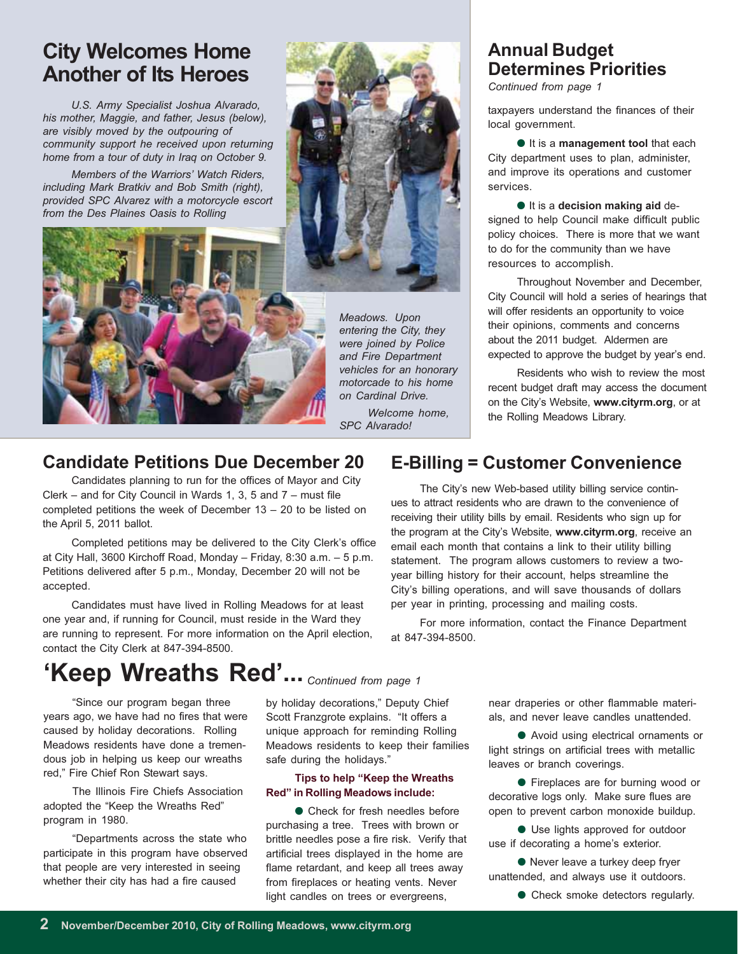## **City Welcomes Home Another of Its Heroes**

U.S. Army Specialist Joshua Alvarado, his mother, Maggie, and father, Jesus (below), are visibly moved by the outpouring of community support he received upon returning home from a tour of duty in Iraq on October 9.

Members of the Warriors' Watch Riders, including Mark Bratkiy and Bob Smith (right). provided SPC Alvarez with a motorcycle escort from the Des Plaines Oasis to Rolling



Meadows. Upon entering the City, they were joined by Police and Fire Department vehicles for an honorary motorcade to his home on Cardinal Drive.

> Welcome home. SPC Alvarado!

# **Annual Budget Determines Priorities**

Continued from page 1

taxpayers understand the finances of their local government.

It is a management tool that each City department uses to plan, administer, and improve its operations and customer services.

It is a decision making aid designed to help Council make difficult public policy choices. There is more that we want to do for the community than we have resources to accomplish.

Throughout November and December, City Council will hold a series of hearings that will offer residents an opportunity to voice their opinions, comments and concerns about the 2011 budget. Aldermen are expected to approve the budget by year's end.

Residents who wish to review the most recent budget draft may access the document on the City's Website, www.cityrm.org, or at the Rolling Meadows Library.

#### **Candidate Petitions Due December 20**

Candidates planning to run for the offices of Mayor and City Clerk – and for City Council in Wards 1, 3, 5 and 7 – must file completed petitions the week of December  $13 - 20$  to be listed on the April 5, 2011 ballot.

Completed petitions may be delivered to the City Clerk's office at City Hall, 3600 Kirchoff Road, Monday - Friday, 8:30 a.m. - 5 p.m. Petitions delivered after 5 p.m., Monday, December 20 will not be accepted.

Candidates must have lived in Rolling Meadows for at least one year and, if running for Council, must reside in the Ward they are running to represent. For more information on the April election, contact the City Clerk at 847-394-8500.

### **E-Billing = Customer Convenience**

The City's new Web-based utility billing service continues to attract residents who are drawn to the convenience of receiving their utility bills by email. Residents who sign up for the program at the City's Website, www.cityrm.org, receive an email each month that contains a link to their utility billing statement. The program allows customers to review a twoyear billing history for their account, helps streamline the City's billing operations, and will save thousands of dollars per year in printing, processing and mailing costs.

For more information, contact the Finance Department at 847-394-8500.

# 'Keep Wreaths Red'... Continued from page 1

"Since our program began three years ago, we have had no fires that were caused by holiday decorations. Rolling Meadows residents have done a tremendous job in helping us keep our wreaths red." Fire Chief Ron Stewart savs.

The Illinois Fire Chiefs Association adopted the "Keep the Wreaths Red" program in 1980.

"Departments across the state who participate in this program have observed that people are very interested in seeing whether their city has had a fire caused

by holiday decorations," Deputy Chief Scott Franzgrote explains. "It offers a unique approach for reminding Rolling Meadows residents to keep their families safe during the holidays."

#### Tips to help "Keep the Wreaths" Red" in Rolling Meadows include:

• Check for fresh needles before purchasing a tree. Trees with brown or brittle needles pose a fire risk. Verify that artificial trees displayed in the home are flame retardant, and keep all trees away from fireplaces or heating vents. Never light candles on trees or evergreens,

near draperies or other flammable materials, and never leave candles unattended.

● Avoid using electrical ornaments or light strings on artificial trees with metallic leaves or branch coverings.

• Fireplaces are for burning wood or decorative logs only. Make sure flues are open to prevent carbon monoxide buildup.

● Use lights approved for outdoor use if decorating a home's exterior.

● Never leave a turkey deep fryer unattended, and always use it outdoors.

• Check smoke detectors regularly.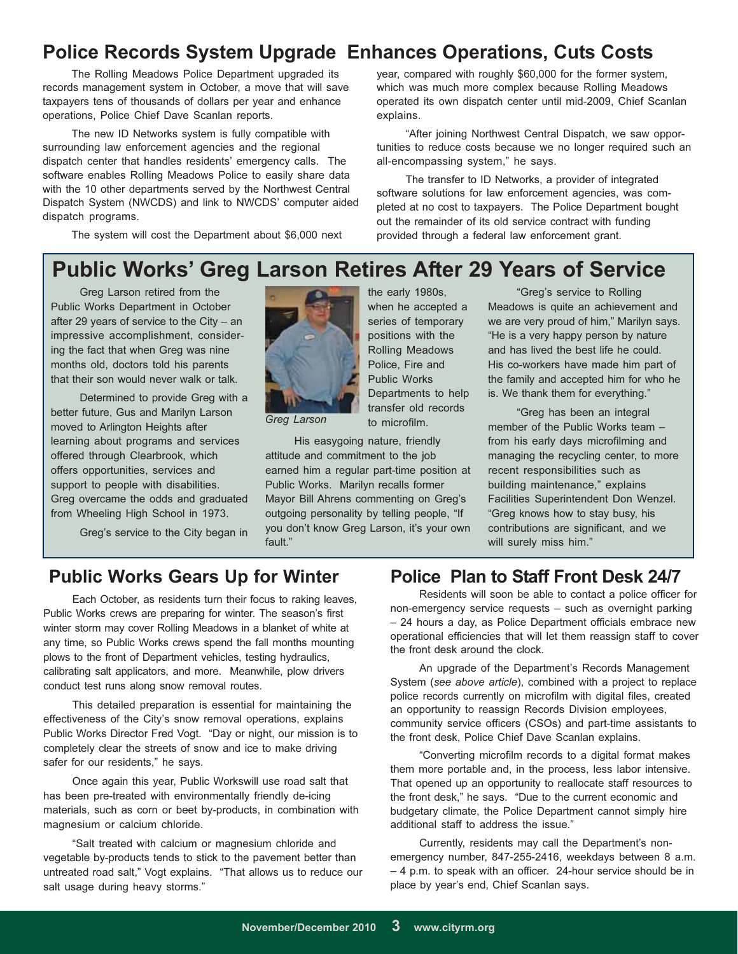### **Police Records System Upgrade Enhances Operations, Cuts Costs**

The Rolling Meadows Police Department upgraded its records management system in October, a move that will save taxpayers tens of thousands of dollars per year and enhance operations, Police Chief Dave Scanlan reports.

The new ID Networks system is fully compatible with surrounding law enforcement agencies and the regional dispatch center that handles residents' emergency calls. The software enables Rolling Meadows Police to easily share data with the 10 other departments served by the Northwest Central Dispatch System (NWCDS) and link to NWCDS' computer aided dispatch programs.

The system will cost the Department about \$6,000 next

year, compared with roughly \$60,000 for the former system, which was much more complex because Rolling Meadows operated its own dispatch center until mid-2009, Chief Scanlan explains.

"After joining Northwest Central Dispatch, we saw opportunities to reduce costs because we no longer required such an all-encompassing system," he says.

The transfer to ID Networks, a provider of integrated software solutions for law enforcement agencies, was completed at no cost to taxpayers. The Police Department bought out the remainder of its old service contract with funding provided through a federal law enforcement grant.

# **Public Works' Greg Larson Retires After 29 Years of Service**

Greg Larson retired from the Public Works Department in October after 29 years of service to the City - an impressive accomplishment, considering the fact that when Greg was nine months old, doctors told his parents that their son would never walk or talk.

Determined to provide Greg with a better future, Gus and Marilyn Larson moved to Arlington Heights after learning about programs and services offered through Clearbrook, which offers opportunities, services and support to people with disabilities. Greg overcame the odds and graduated from Wheeling High School in 1973.

Greg's service to the City began in



Greg Larson

His easygoing nature, friendly attitude and commitment to the job earned him a regular part-time position at Public Works. Marilyn recalls former Mayor Bill Ahrens commenting on Greg's outgoing personality by telling people, "If you don't know Greg Larson, it's your own fault."

to microfilm.

"Greg's service to Rolling Meadows is quite an achievement and we are very proud of him," Marilyn says. "He is a very happy person by nature and has lived the best life he could. His co-workers have made him part of the family and accepted him for who he is. We thank them for everything."

"Greg has been an integral member of the Public Works team from his early days microfilming and managing the recycling center, to more recent responsibilities such as building maintenance," explains Facilities Superintendent Don Wenzel. "Greg knows how to stay busy, his contributions are significant, and we will surely miss him."

#### **Public Works Gears Up for Winter**

Each October, as residents turn their focus to raking leaves, Public Works crews are preparing for winter. The season's first winter storm may cover Rolling Meadows in a blanket of white at any time, so Public Works crews spend the fall months mounting plows to the front of Department vehicles, testing hydraulics, calibrating salt applicators, and more. Meanwhile, plow drivers conduct test runs along snow removal routes.

This detailed preparation is essential for maintaining the effectiveness of the City's snow removal operations, explains Public Works Director Fred Vogt. "Day or night, our mission is to completely clear the streets of snow and ice to make driving safer for our residents," he says.

Once again this year, Public Workswill use road salt that has been pre-treated with environmentally friendly de-icing materials, such as corn or beet by-products, in combination with magnesium or calcium chloride.

"Salt treated with calcium or magnesium chloride and vegetable by-products tends to stick to the pavement better than untreated road salt," Vogt explains. "That allows us to reduce our salt usage during heavy storms."

#### **Police Plan to Staff Front Desk 24/7**

Residents will soon be able to contact a police officer for non-emergency service requests - such as overnight parking - 24 hours a day, as Police Department officials embrace new operational efficiencies that will let them reassign staff to cover the front desk around the clock.

An upgrade of the Department's Records Management System (see above article), combined with a project to replace police records currently on microfilm with digital files, created an opportunity to reassign Records Division employees, community service officers (CSOs) and part-time assistants to the front desk, Police Chief Dave Scanlan explains.

"Converting microfilm records to a digital format makes them more portable and, in the process, less labor intensive. That opened up an opportunity to reallocate staff resources to the front desk," he says. "Due to the current economic and budgetary climate, the Police Department cannot simply hire additional staff to address the issue."

Currently, residents may call the Department's nonemergency number, 847-255-2416, weekdays between 8 a.m. - 4 p.m. to speak with an officer. 24-hour service should be in place by year's end, Chief Scanlan says.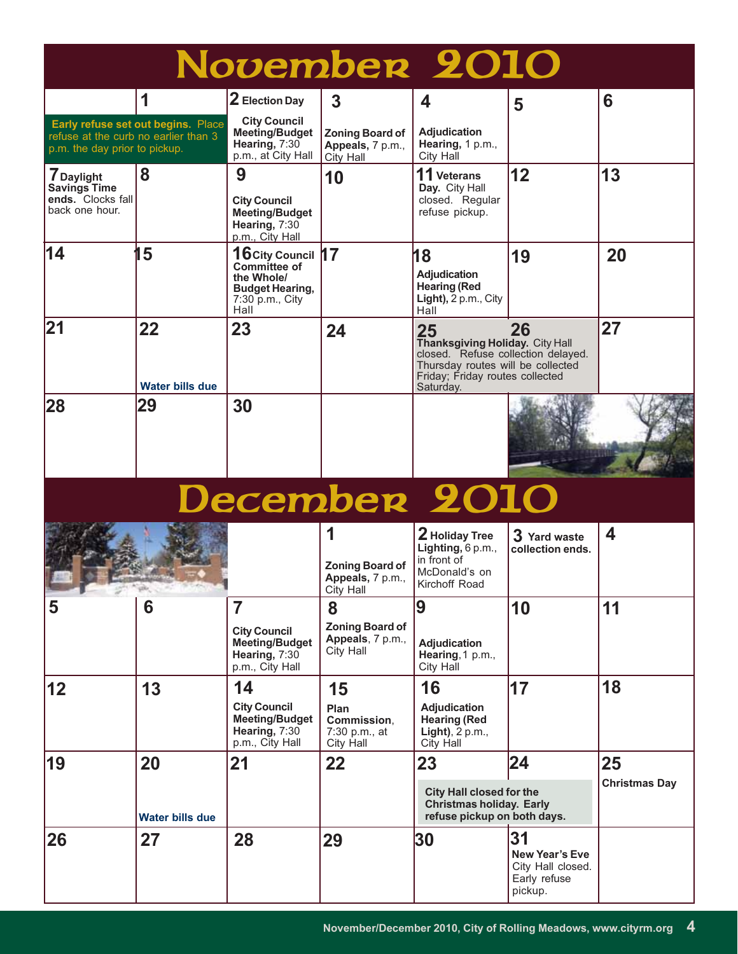| November 2010                                                            |                                    |                                                                                                              |                                                              |                                                                                                                                                                  |                                                                             |                            |
|--------------------------------------------------------------------------|------------------------------------|--------------------------------------------------------------------------------------------------------------|--------------------------------------------------------------|------------------------------------------------------------------------------------------------------------------------------------------------------------------|-----------------------------------------------------------------------------|----------------------------|
|                                                                          | 1                                  | $2$ Election Day                                                                                             | 3                                                            | 4                                                                                                                                                                | 5                                                                           | 6                          |
| refuse at the curb no earlier than 3<br>p.m. the day prior to pickup.    | Early refuse set out begins. Place | <b>City Council</b><br><b>Meeting/Budget</b><br>Hearing, 7:30<br>p.m., at City Hall                          | <b>Zoning Board of</b><br>Appeals, 7 p.m.,<br>City Hall      | <b>Adjudication</b><br>Hearing, 1 p.m.,<br>City Hall                                                                                                             |                                                                             |                            |
| <b>7</b> Daylight<br>Savings Time<br>ends. Clocks fall<br>back one hour. | 8                                  | 9<br><b>City Council</b><br><b>Meeting/Budget</b><br>Hearing, 7:30<br>p.m., City Hall                        | 10                                                           | 11 Veterans<br>Day. City Hall<br>closed. Regular<br>refuse pickup.                                                                                               | 12                                                                          | 13                         |
| 14                                                                       | 5                                  | 16 City Council 17<br><b>Committee of</b><br>the Whole/<br><b>Budget Hearing,</b><br>7:30 p.m., City<br>Hall |                                                              | 18<br><b>Adjudication</b><br><b>Hearing (Red</b><br>Light), 2 p.m., City<br>Hall                                                                                 | 19                                                                          | 20                         |
| 21                                                                       | 22<br><b>Water bills due</b>       | 23                                                                                                           | 24                                                           | 25<br>Thanksgiving Holiday. City Hall<br>closed. Refuse collection delayed.<br>Thursday routes will be collected<br>Friday; Friday routes collected<br>Saturday. | 26                                                                          | 27                         |
| 28                                                                       | 29                                 | 30                                                                                                           |                                                              |                                                                                                                                                                  |                                                                             |                            |
| December 2010                                                            |                                    |                                                                                                              |                                                              |                                                                                                                                                                  |                                                                             |                            |
| <b>Programmed</b>                                                        | <b>The Ave</b>                     |                                                                                                              | 1<br><b>Zoning Board of</b><br>Appeals, 7 p.m.,<br>City Hall | 2 Holiday Tree<br>Lighting, 6 p.m.,<br>in front of<br>McDonald's on<br>Kirchoff Road                                                                             | 3 Yard waste<br>collection ends.                                            | 4                          |
| 5                                                                        | 6                                  | $\overline{7}$<br><b>City Council</b><br><b>Meeting/Budget</b><br>Hearing, 7:30<br>p.m., City Hall           | 8<br><b>Zoning Board of</b><br>Appeals, 7 p.m.,<br>City Hall | 9<br>Adjudication<br>Hearing, 1 p.m.,<br>City Hall                                                                                                               | 10                                                                          | 11                         |
| 12                                                                       | 13                                 | 14<br><b>City Council</b><br><b>Meeting/Budget</b><br>Hearing, 7:30<br>p.m., City Hall                       | 15<br>Plan<br>Commission,<br>7:30 p.m., at<br>City Hall      | 16<br><b>Adjudication</b><br><b>Hearing (Red</b><br>Light), $2 p.m.,$<br>City Hall                                                                               | 17                                                                          | 18                         |
| 19                                                                       | 20<br><b>Water bills due</b>       | 21                                                                                                           | 22                                                           | 23<br><b>City Hall closed for the</b><br><b>Christmas holiday. Early</b><br>refuse pickup on both days.                                                          | 24                                                                          | 25<br><b>Christmas Day</b> |
| 26                                                                       | 27                                 | 28                                                                                                           | 29                                                           | 30                                                                                                                                                               | 31<br><b>New Year's Eve</b><br>City Hall closed.<br>Early refuse<br>pickup. |                            |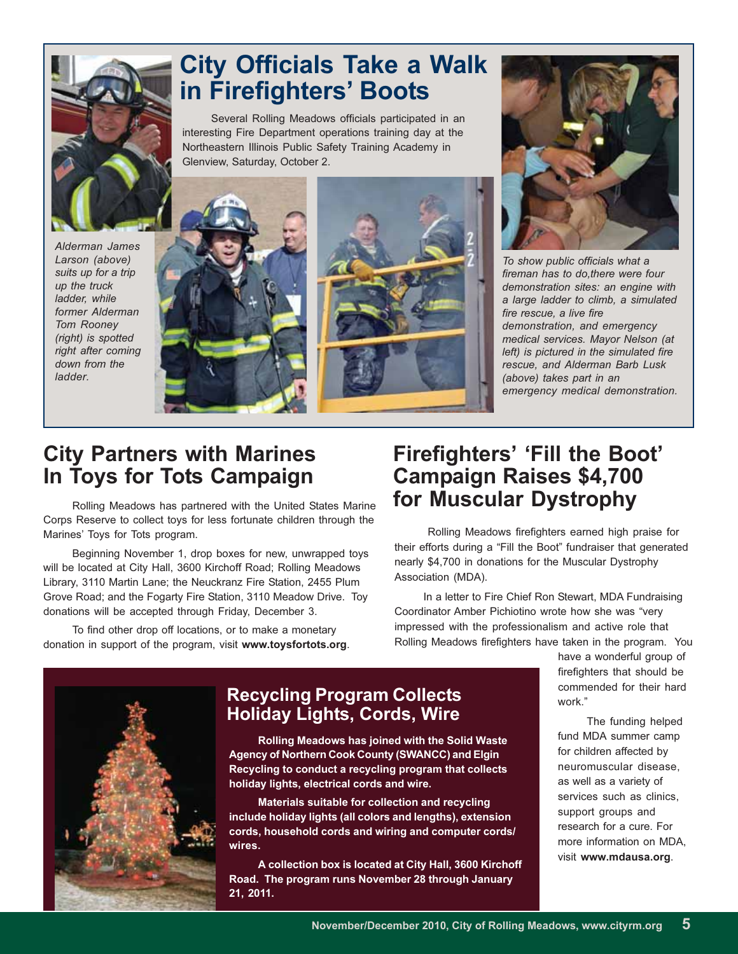

# **City Officials Take a Walk** in Firefighters' Boots

Several Rolling Meadows officials participated in an interesting Fire Department operations training day at the Northeastern Illinois Public Safety Training Academy in Glenview, Saturday, October 2.

Alderman James Larson (above) suits up for a trip up the truck ladder, while former Alderman Tom Rooney (right) is spotted right after coming down from the ladder







To show public officials what a fireman has to do, there were four demonstration sites: an engine with a large ladder to climb, a simulated fire rescue, a live fire demonstration, and emergency medical services. Mayor Nelson (at left) is pictured in the simulated fire rescue, and Alderman Barb Lusk (above) takes part in an emergency medical demonstration.

# **City Partners with Marines** In Toys for Tots Campaign

Rolling Meadows has partnered with the United States Marine Corps Reserve to collect toys for less fortunate children through the Marines' Toys for Tots program.

Beginning November 1, drop boxes for new, unwrapped toys will be located at City Hall, 3600 Kirchoff Road; Rolling Meadows Library, 3110 Martin Lane; the Neuckranz Fire Station, 2455 Plum Grove Road; and the Fogarty Fire Station, 3110 Meadow Drive. Toy donations will be accepted through Friday, December 3.

To find other drop off locations, or to make a monetary donation in support of the program, visit www.toysfortots.org.

# **Firefighters' 'Fill the Boot' Campaign Raises \$4,700** for Muscular Dystrophy

Rolling Meadows firefighters earned high praise for their efforts during a "Fill the Boot" fundraiser that generated nearly \$4,700 in donations for the Muscular Dystrophy Association (MDA).

In a letter to Fire Chief Ron Stewart, MDA Fundraising Coordinator Amber Pichiotino wrote how she was "very impressed with the professionalism and active role that Rolling Meadows firefighters have taken in the program. You

#### **Recycling Program Collects Holiday Lights, Cords, Wire**

Rolling Meadows has joined with the Solid Waste Agency of Northern Cook County (SWANCC) and Elgin Recycling to conduct a recycling program that collects holiday lights, electrical cords and wire.

Materials suitable for collection and recycling include holiday lights (all colors and lengths), extension cords, household cords and wiring and computer cords/ wires.

A collection box is located at City Hall, 3600 Kirchoff Road. The program runs November 28 through January 21, 2011.

have a wonderful group of firefighters that should be commended for their hard work."

The funding helped fund MDA summer camp for children affected by neuromuscular disease, as well as a variety of services such as clinics, support groups and research for a cure. For more information on MDA, visit www.mdausa.org.